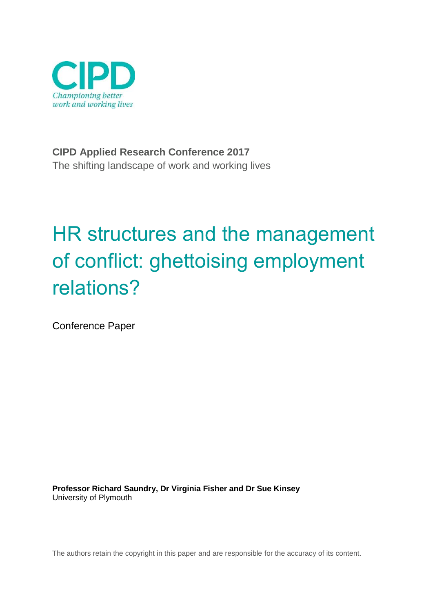

**CIPD Applied Research Conference 2017** The shifting landscape of work and working lives

# HR structures and the management of conflict: ghettoising employment relations?

Conference Paper

**Professor Richard Saundry, Dr Virginia Fisher and Dr Sue Kinsey** University of Plymouth

The authors retain the copyright in this paper and are responsible for the accuracy of its content.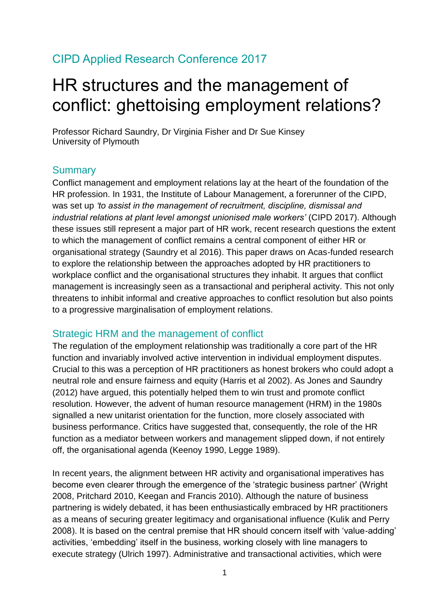### CIPD Applied Research Conference 2017

## HR structures and the management of conflict: ghettoising employment relations?

Professor Richard Saundry, Dr Virginia Fisher and Dr Sue Kinsey University of Plymouth

#### **Summary**

Conflict management and employment relations lay at the heart of the foundation of the HR profession. In 1931, the Institute of Labour Management, a forerunner of the CIPD, was set up *'to assist in the management of recruitment, discipline, dismissal and industrial relations at plant level amongst unionised male workers'* (CIPD 2017). Although these issues still represent a major part of HR work, recent research questions the extent to which the management of conflict remains a central component of either HR or organisational strategy (Saundry et al 2016). This paper draws on Acas-funded research to explore the relationship between the approaches adopted by HR practitioners to workplace conflict and the organisational structures they inhabit. It argues that conflict management is increasingly seen as a transactional and peripheral activity. This not only threatens to inhibit informal and creative approaches to conflict resolution but also points to a progressive marginalisation of employment relations.

#### Strategic HRM and the management of conflict

The regulation of the employment relationship was traditionally a core part of the HR function and invariably involved active intervention in individual employment disputes. Crucial to this was a perception of HR practitioners as honest brokers who could adopt a neutral role and ensure fairness and equity (Harris et al 2002). As Jones and Saundry (2012) have argued, this potentially helped them to win trust and promote conflict resolution. However, the advent of human resource management (HRM) in the 1980s signalled a new unitarist orientation for the function, more closely associated with business performance. Critics have suggested that, consequently, the role of the HR function as a mediator between workers and management slipped down, if not entirely off, the organisational agenda (Keenov 1990, Legge 1989).

In recent years, the alignment between HR activity and organisational imperatives has become even clearer through the emergence of the 'strategic business partner' (Wright 2008, Pritchard 2010, Keegan and Francis 2010). Although the nature of business partnering is widely debated, it has been enthusiastically embraced by HR practitioners as a means of securing greater legitimacy and organisational influence (Kulik and Perry 2008). It is based on the central premise that HR should concern itself with 'value-adding' activities, 'embedding' itself in the business, working closely with line managers to execute strategy (Ulrich 1997). Administrative and transactional activities, which were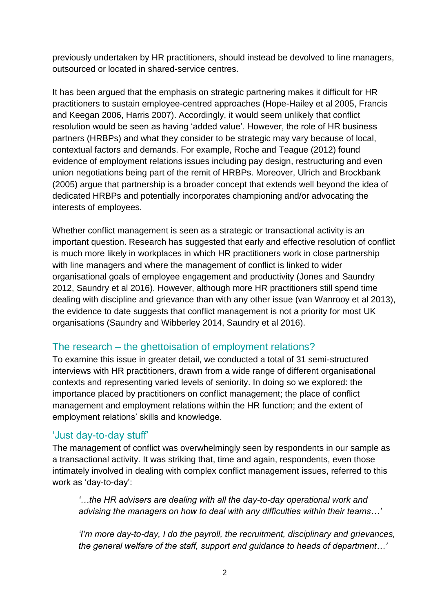previously undertaken by HR practitioners, should instead be devolved to line managers, outsourced or located in shared-service centres.

It has been argued that the emphasis on strategic partnering makes it difficult for HR practitioners to sustain employee-centred approaches (Hope-Hailey et al 2005, Francis and Keegan 2006, Harris 2007). Accordingly, it would seem unlikely that conflict resolution would be seen as having 'added value'. However, the role of HR business partners (HRBPs) and what they consider to be strategic may vary because of local, contextual factors and demands. For example, Roche and Teague (2012) found evidence of employment relations issues including pay design, restructuring and even union negotiations being part of the remit of HRBPs. Moreover, Ulrich and Brockbank (2005) argue that partnership is a broader concept that extends well beyond the idea of dedicated HRBPs and potentially incorporates championing and/or advocating the interests of employees.

Whether conflict management is seen as a strategic or transactional activity is an important question. Research has suggested that early and effective resolution of conflict is much more likely in workplaces in which HR practitioners work in close partnership with line managers and where the management of conflict is linked to wider organisational goals of employee engagement and productivity (Jones and Saundry 2012, Saundry et al 2016). However, although more HR practitioners still spend time dealing with discipline and grievance than with any other issue (van Wanrooy et al 2013), the evidence to date suggests that conflict management is not a priority for most UK organisations (Saundry and Wibberley 2014, Saundry et al 2016).

#### The research – the ghettoisation of employment relations?

To examine this issue in greater detail, we conducted a total of 31 semi-structured interviews with HR practitioners, drawn from a wide range of different organisational contexts and representing varied levels of seniority. In doing so we explored: the importance placed by practitioners on conflict management; the place of conflict management and employment relations within the HR function; and the extent of employment relations' skills and knowledge.

#### 'Just day-to-day stuff'

The management of conflict was overwhelmingly seen by respondents in our sample as a transactional activity. It was striking that, time and again, respondents, even those intimately involved in dealing with complex conflict management issues, referred to this work as 'day-to-day':

*'…the HR advisers are dealing with all the day-to-day operational work and advising the managers on how to deal with any difficulties within their teams…'* 

*'I'm more day-to-day, I do the payroll, the recruitment, disciplinary and grievances, the general welfare of the staff, support and guidance to heads of department…'*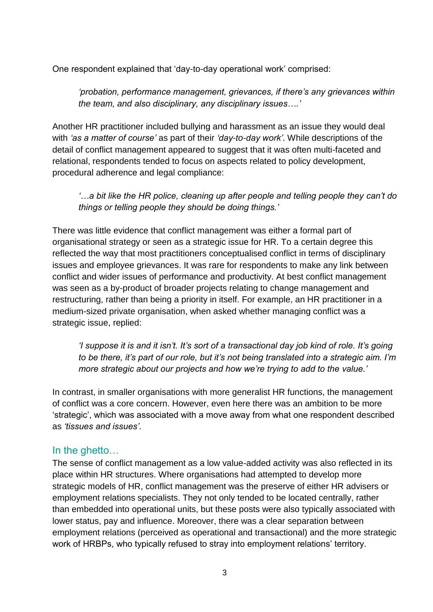One respondent explained that 'day-to-day operational work' comprised:

*'probation, performance management, grievances, if there's any grievances within the team, and also disciplinary, any disciplinary issues….'*

Another HR practitioner included bullying and harassment as an issue they would deal with *'as a matter of course'* as part of their *'day-to-day work'*. While descriptions of the detail of conflict management appeared to suggest that it was often multi-faceted and relational, respondents tended to focus on aspects related to policy development, procedural adherence and legal compliance:

*'…a bit like the HR police, cleaning up after people and telling people they can't do things or telling people they should be doing things.'*

There was little evidence that conflict management was either a formal part of organisational strategy or seen as a strategic issue for HR. To a certain degree this reflected the way that most practitioners conceptualised conflict in terms of disciplinary issues and employee grievances. It was rare for respondents to make any link between conflict and wider issues of performance and productivity. At best conflict management was seen as a by-product of broader projects relating to change management and restructuring, rather than being a priority in itself. For example, an HR practitioner in a medium-sized private organisation, when asked whether managing conflict was a strategic issue, replied:

*'I suppose it is and it isn't. It's sort of a transactional day job kind of role. It's going to be there, it's part of our role, but it's not being translated into a strategic aim. I'm more strategic about our projects and how we're trying to add to the value.'*

In contrast, in smaller organisations with more generalist HR functions, the management of conflict was a core concern. However, even here there was an ambition to be more 'strategic', which was associated with a move away from what one respondent described as *'tissues and issues'*.

#### In the ghetto…

The sense of conflict management as a low value-added activity was also reflected in its place within HR structures. Where organisations had attempted to develop more strategic models of HR, conflict management was the preserve of either HR advisers or employment relations specialists. They not only tended to be located centrally, rather than embedded into operational units, but these posts were also typically associated with lower status, pay and influence. Moreover, there was a clear separation between employment relations (perceived as operational and transactional) and the more strategic work of HRBPs, who typically refused to stray into employment relations' territory.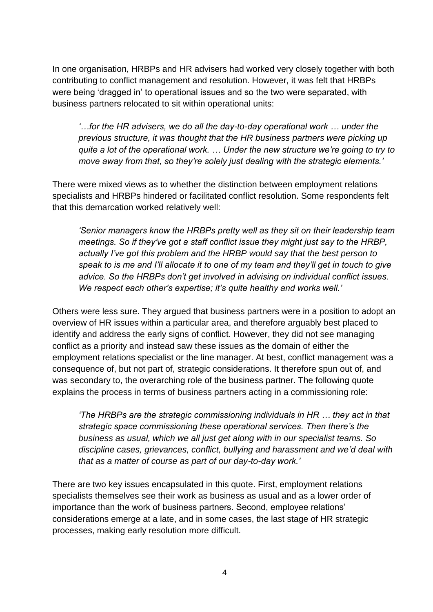In one organisation, HRBPs and HR advisers had worked very closely together with both contributing to conflict management and resolution. However, it was felt that HRBPs were being 'dragged in' to operational issues and so the two were separated, with business partners relocated to sit within operational units:

*'…for the HR advisers, we do all the day-to-day operational work … under the previous structure, it was thought that the HR business partners were picking up quite a lot of the operational work. … Under the new structure we're going to try to move away from that, so they're solely just dealing with the strategic elements.'* 

There were mixed views as to whether the distinction between employment relations specialists and HRBPs hindered or facilitated conflict resolution. Some respondents felt that this demarcation worked relatively well:

*'Senior managers know the HRBPs pretty well as they sit on their leadership team meetings. So if they've got a staff conflict issue they might just say to the HRBP, actually I've got this problem and the HRBP would say that the best person to speak to is me and I'll allocate it to one of my team and they'll get in touch to give advice. So the HRBPs don't get involved in advising on individual conflict issues. We respect each other's expertise; it's quite healthy and works well.'*

Others were less sure. They argued that business partners were in a position to adopt an overview of HR issues within a particular area, and therefore arguably best placed to identify and address the early signs of conflict. However, they did not see managing conflict as a priority and instead saw these issues as the domain of either the employment relations specialist or the line manager. At best, conflict management was a consequence of, but not part of, strategic considerations. It therefore spun out of, and was secondary to, the overarching role of the business partner. The following quote explains the process in terms of business partners acting in a commissioning role:

*'The HRBPs are the strategic commissioning individuals in HR … they act in that strategic space commissioning these operational services. Then there's the business as usual, which we all just get along with in our specialist teams. So discipline cases, grievances, conflict, bullying and harassment and we'd deal with that as a matter of course as part of our day-to-day work.'*

There are two key issues encapsulated in this quote. First, employment relations specialists themselves see their work as business as usual and as a lower order of importance than the work of business partners. Second, employee relations' considerations emerge at a late, and in some cases, the last stage of HR strategic processes, making early resolution more difficult.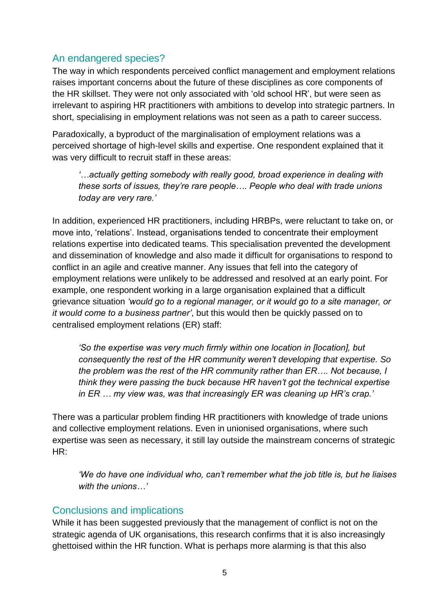#### An endangered species?

The way in which respondents perceived conflict management and employment relations raises important concerns about the future of these disciplines as core components of the HR skillset. They were not only associated with 'old school HR', but were seen as irrelevant to aspiring HR practitioners with ambitions to develop into strategic partners. In short, specialising in employment relations was not seen as a path to career success.

Paradoxically, a byproduct of the marginalisation of employment relations was a perceived shortage of high-level skills and expertise. One respondent explained that it was very difficult to recruit staff in these areas:

*'…actually getting somebody with really good, broad experience in dealing with these sorts of issues, they're rare people…. People who deal with trade unions today are very rare.'*

In addition, experienced HR practitioners, including HRBPs, were reluctant to take on, or move into, 'relations'. Instead, organisations tended to concentrate their employment relations expertise into dedicated teams. This specialisation prevented the development and dissemination of knowledge and also made it difficult for organisations to respond to conflict in an agile and creative manner. Any issues that fell into the category of employment relations were unlikely to be addressed and resolved at an early point. For example, one respondent working in a large organisation explained that a difficult grievance situation *'would go to a regional manager, or it would go to a site manager, or it would come to a business partner'*, but this would then be quickly passed on to centralised employment relations (ER) staff:

*'So the expertise was very much firmly within one location in [location], but consequently the rest of the HR community weren't developing that expertise. So the problem was the rest of the HR community rather than ER…. Not because, I think they were passing the buck because HR haven't got the technical expertise in ER … my view was, was that increasingly ER was cleaning up HR's crap.'*

There was a particular problem finding HR practitioners with knowledge of trade unions and collective employment relations. Even in unionised organisations, where such expertise was seen as necessary, it still lay outside the mainstream concerns of strategic  $HR<sup>1</sup>$ 

*'We do have one individual who, can't remember what the job title is, but he liaises with the unions…'* 

#### Conclusions and implications

While it has been suggested previously that the management of conflict is not on the strategic agenda of UK organisations, this research confirms that it is also increasingly ghettoised within the HR function. What is perhaps more alarming is that this also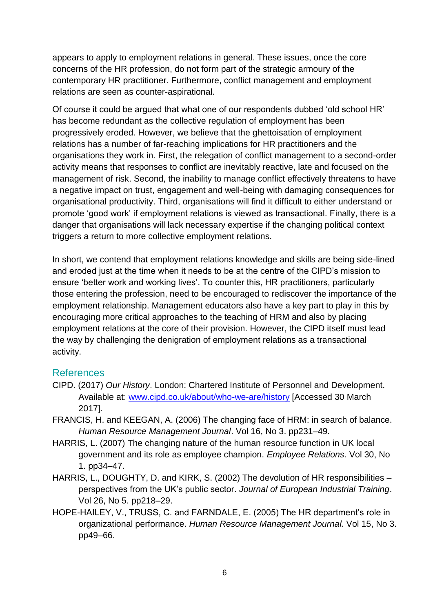appears to apply to employment relations in general. These issues, once the core concerns of the HR profession, do not form part of the strategic armoury of the contemporary HR practitioner. Furthermore, conflict management and employment relations are seen as counter-aspirational.

Of course it could be argued that what one of our respondents dubbed 'old school HR' has become redundant as the collective regulation of employment has been progressively eroded. However, we believe that the ghettoisation of employment relations has a number of far-reaching implications for HR practitioners and the organisations they work in. First, the relegation of conflict management to a second-order activity means that responses to conflict are inevitably reactive, late and focused on the management of risk. Second, the inability to manage conflict effectively threatens to have a negative impact on trust, engagement and well-being with damaging consequences for organisational productivity. Third, organisations will find it difficult to either understand or promote 'good work' if employment relations is viewed as transactional. Finally, there is a danger that organisations will lack necessary expertise if the changing political context triggers a return to more collective employment relations.

In short, we contend that employment relations knowledge and skills are being side-lined and eroded just at the time when it needs to be at the centre of the CIPD's mission to ensure 'better work and working lives'. To counter this, HR practitioners, particularly those entering the profession, need to be encouraged to rediscover the importance of the employment relationship. Management educators also have a key part to play in this by encouraging more critical approaches to the teaching of HRM and also by placing employment relations at the core of their provision. However, the CIPD itself must lead the way by challenging the denigration of employment relations as a transactional activity.

#### References

- CIPD. (2017) *Our History*. London: Chartered Institute of Personnel and Development. Available at: [www.cipd.co.uk/about/who-we-are/history](http://www.cipd.co.uk/about/who-we-are/history) [Accessed 30 March 2017].
- FRANCIS, H. and KEEGAN, A. (2006) The changing face of HRM: in search of balance. *Human Resource Management Journal*. Vol 16, No 3. pp231–49.
- HARRIS, L. (2007) The changing nature of the human resource function in UK local government and its role as employee champion. *Employee Relations*. Vol 30, No 1. pp34–47.
- HARRIS, L., DOUGHTY, D. and KIRK, S. (2002) The devolution of HR responsibilities perspectives from the UK's public sector. *Journal of European Industrial Training*. Vol 26, No 5. pp218–29.
- HOPE-HAILEY, V., TRUSS, C. and FARNDALE, E. (2005) The HR department's role in organizational performance. *Human Resource Management Journal.* Vol 15, No 3. pp49–66.